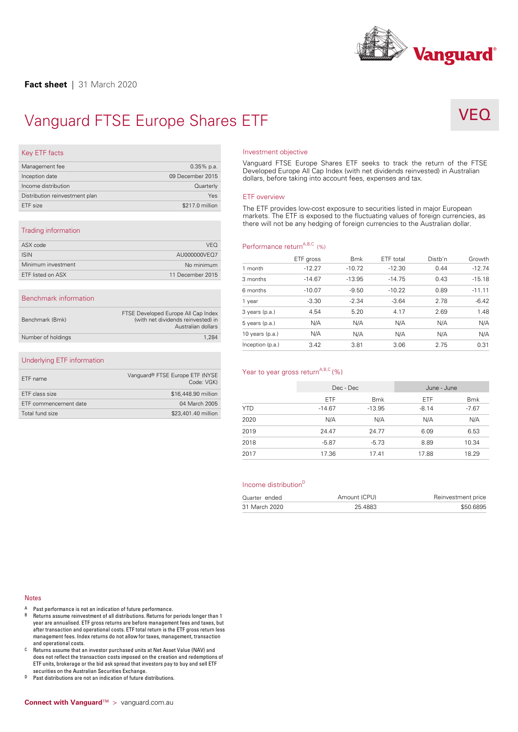

# Vanguard FTSE Europe Shares ETF<br>
Key ETF facts<br>
Management fee Vanguard FTSE Europe Sha

# VF(

| Key ETF facts                                         |                  |
|-------------------------------------------------------|------------------|
| Management fee                                        | $0.35\%$ p.a.    |
| Inception date                                        | 09 December 2015 |
| Income distribution                                   | Quarterly        |
| Distribution reinvestment plan                        | Yes              |
| ETF size                                              | \$217.0 million  |
|                                                       |                  |
| Trading information                                   |                  |
| $\wedge$ CM $\rightarrow$ $\rightarrow$ $\rightarrow$ | 1/T <sub>O</sub> |

|                       |                  | .<br>mar<br>ther |
|-----------------------|------------------|------------------|
| Trading information   |                  |                  |
| ASX code              | <b>VEQ</b>       | Perf             |
| <b>ISIN</b>           | AU000000VEQ7     |                  |
| Minimum investment    | No minimum       | 1 mc             |
| ETF listed on ASX     | 11 December 2015 | 3 mc             |
|                       |                  | 6 mc             |
| Benchmark information |                  | 1 yea            |
|                       | $\cdots$         | 2.10             |

## Benchmark information

| Benchmark (Bmk)    | FTSE Developed Europe All Cap Index<br>(with net dividends reinvested) in<br>Australian dollars |  |
|--------------------|-------------------------------------------------------------------------------------------------|--|
| Number of holdings | 1.284                                                                                           |  |

## Underlying ETF information

| Underlying ETF information |                                               |
|----------------------------|-----------------------------------------------|
| ETF name                   | Vanquard® FTSE Europe ETF (NYSE<br>Code: VGK) |
| ETF class size             | \$16,448.90 million                           |
| ETF commencement date      | 04 March 2005                                 |
| Total fund size            | \$23,401.40 million                           |
|                            |                                               |

## Investment objective

Vanguard FTSE Europe Shares ETF seeks to track the return of the FTSE Developed Europe All Cap Index (with net dividends reinvested) in Australian dollars, before taking into account fees, expenses and tax.

## ETF overview

The ETF provides low-cost exposure to securities listed in major European<br>
markets. The ETF is exposed to the fluctuating values of foreign currencies<br>
there will not be any hedging of foreign currencies to the Australian markets. The ETF is exposed to the fluctuating values of foreign currencies, as

| Performance return <sup>A,B,C</sup> (%) |           |            |           |         |          |
|-----------------------------------------|-----------|------------|-----------|---------|----------|
|                                         | ETF gross | <b>Bmk</b> | ETF total | Distb'n | Growth   |
| 1 month                                 | $-12.27$  | $-10.72$   | $-12.30$  | 0.44    | $-12.74$ |
| 3 months                                | $-14.67$  | $-13.95$   | $-14.75$  | 0.43    | $-15.18$ |
| 6 months                                | $-10.07$  | $-9.50$    | $-10.22$  | 0.89    | $-11.11$ |
| 1 year                                  | $-3.30$   | $-2.34$    | $-3.64$   | 2.78    | $-6.42$  |
| 3 years (p.a.)                          | 4.54      | 5.20       | 4.17      | 2.69    | 1.48     |
| 5 years (p.a.)                          | N/A       | N/A        | N/A       | N/A     | N/A      |
| 10 years $(p.a.)$                       | N/A       | N/A        | N/A       | N/A     | N/A      |
| Inception (p.a.)                        | 3.42      | 3.81       | 3.06      | 2.75    | 0.31     |

## Year to year gross return<sup>A,B,C</sup> (%)

| Year to year gross return <sup>A,B,C</sup> (%) |            |            |             |            |
|------------------------------------------------|------------|------------|-------------|------------|
|                                                | Dec - Dec  |            | June - June |            |
|                                                | <b>ETF</b> | <b>Bmk</b> | <b>ETF</b>  | <b>Bmk</b> |
| <b>YTD</b>                                     | $-14.67$   | $-13.95$   | $-8.14$     | $-7.67$    |
| 2020                                           | N/A        | N/A        | N/A         | N/A        |
| 2019                                           | 24.47      | 24.77      | 6.09        | 6.53       |
| 2018                                           | $-5.87$    | $-5.73$    | 8.89        | 10.34      |
| 2017                                           | 17.36      | 17.41      | 17.88       | 18.29      |

| 31 March 2020                    |       | 25.4883      |       | \$50.6895          |
|----------------------------------|-------|--------------|-------|--------------------|
| Quarter ended                    |       | Amount (CPU) |       | Reinvestment price |
| Income distribution <sup>D</sup> |       |              |       |                    |
|                                  |       |              |       |                    |
| 2017                             | 17.36 | 17.41        | 17.88 | 18.29              |
| 2018                             | -5.87 | -5.73        | 8.89  | 10.34              |

### **Notes**

- 
- Notes<br>
A Past performance is not an indication of future performance.<br>
B Returns assume reinvestment of all distributions. Returns for periods longer than 1<br>
year are annualised. ETF gross returns are before management fee
- year are annualised. E1F gross returns are before management fees and taxes, but<br>after transaction and operational costs. ETF total return is the ETF gross return less<br>management fees. Index returns do not allow for taxes, ETF units, brokerage or the bid ask spread that investors pay to buy and sell ETF<br>securities on the Australian Securities Exchange.<br><sup>D</sup> Past distributions are not an indication of future distributions.<br>**Connect with Vangu**
-